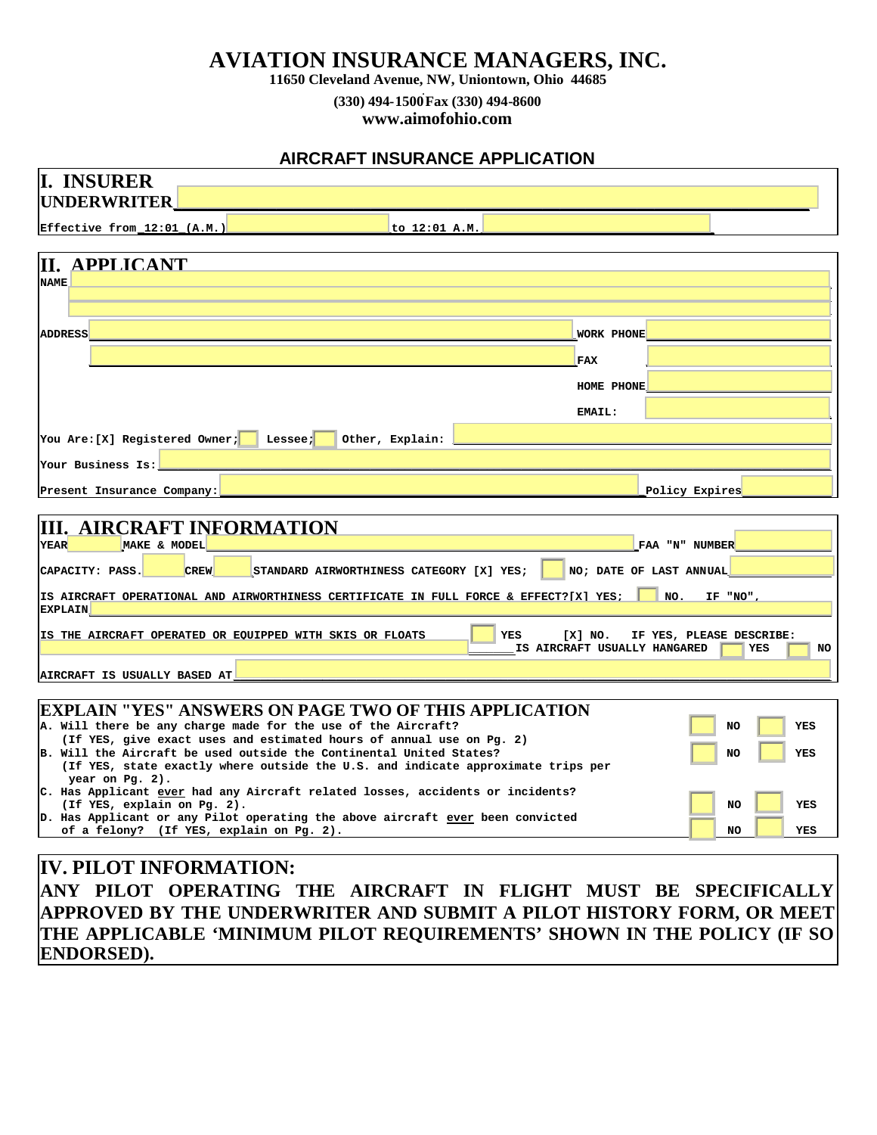## **AVIATION INSURANCE MANAGERS, INC.**

**11650 Cleveland Avenue, NW, Uniontown, Ohio 44685**

**(330) 494-1500 . Fax (330) 494-8600**

**www.aimofohio.com**

## **AIRCRAFT INSURANCE APPLICATION**

| <b>II. INSURER</b>                                                                                                                                                                                                                                                                                                                                                           |                                                                                                                                         |
|------------------------------------------------------------------------------------------------------------------------------------------------------------------------------------------------------------------------------------------------------------------------------------------------------------------------------------------------------------------------------|-----------------------------------------------------------------------------------------------------------------------------------------|
| <b>UNDERWRITER</b>                                                                                                                                                                                                                                                                                                                                                           |                                                                                                                                         |
| Effective from_12:01_(A.M.)                                                                                                                                                                                                                                                                                                                                                  | to 12:01 A.M.                                                                                                                           |
| II.<br><b>APPLICANT</b><br><b>NAME</b>                                                                                                                                                                                                                                                                                                                                       |                                                                                                                                         |
|                                                                                                                                                                                                                                                                                                                                                                              |                                                                                                                                         |
| <b>ADDRESS</b>                                                                                                                                                                                                                                                                                                                                                               | <b>WORK PHONE</b>                                                                                                                       |
|                                                                                                                                                                                                                                                                                                                                                                              | FAX                                                                                                                                     |
|                                                                                                                                                                                                                                                                                                                                                                              | HOME PHONE                                                                                                                              |
|                                                                                                                                                                                                                                                                                                                                                                              | <b>EMAIL:</b>                                                                                                                           |
| You Are: [X] Registered Owner;<br>Other, Explain:<br>Lessee;                                                                                                                                                                                                                                                                                                                 |                                                                                                                                         |
| Your Business Is:                                                                                                                                                                                                                                                                                                                                                            |                                                                                                                                         |
| Present Insurance Company:                                                                                                                                                                                                                                                                                                                                                   | Policy Expires                                                                                                                          |
| <b>III. AIRCRAFT INFORMATION</b><br><b>YEAR</b><br>MAKE & MODEL<br><b>CREW</b><br>STANDARD AIRWORTHINESS CATEGORY [X] YES;<br>CAPACITY: PASS.<br>IS AIRCRAFT OPERATIONAL AND AIRWORTHINESS CERTIFICATE IN FULL FORCE & EFFECT?[X] YES;<br><b>EXPLAIN</b>                                                                                                                     | FAA "N" NUMBER<br>NO; DATE OF LAST ANNUAL<br>NO.<br>IF "NO",                                                                            |
| IS THE AIRCRAFT OPERATED OR EQUIPPED WITH SKIS OR FLOATS<br>AIRCRAFT IS USUALLY BASED AT                                                                                                                                                                                                                                                                                     | YES<br>[X] NO.<br>IF YES, PLEASE DESCRIBE:<br>IS AIRCRAFT USUALLY HANGARED<br>YES<br>NO                                                 |
| EXPLAIN "YES" ANSWERS ON PAGE TWO OF THIS APPLICATION<br>A. Will there be any charge made for the use of the Aircraft?<br>(If YES, give exact uses and estimated hours of annual use on Pg. 2)<br>B. Will the Aircraft be used outside the Continental United States?<br>(If YES, state exactly where outside the U.S. and indicate approximate trips per<br>year on Pg. 2). | NO<br>YES<br>NO<br>YES                                                                                                                  |
| C. Has Applicant <u>ever</u> had any Aircraft related losses, accidents or incidents?<br>(If YES, explain on Pg. 2).<br>D. Has Applicant or any Pilot operating the above aircraft ever been convicted<br>of a felony? (If YES, explain on Pg. 2).                                                                                                                           | <b>NO</b><br>YES<br>NO.<br>YES                                                                                                          |
|                                                                                                                                                                                                                                                                                                                                                                              |                                                                                                                                         |
| <b>IV. PILOT INFORMATION:</b>                                                                                                                                                                                                                                                                                                                                                | ANY PILOT OPERATING THE AIRCRAFT IN FLIGHT MUST BE SPECIFICALLY<br>APPROVED BY THE UNDERWRITER AND SUBMIT A PILOT HISTORY FORM, OR MEET |

**THE APPLICABLE 'MINIMUM PILOT REQUIREMENTS' SHOWN IN THE POLICY (IF SO ENDORSED).**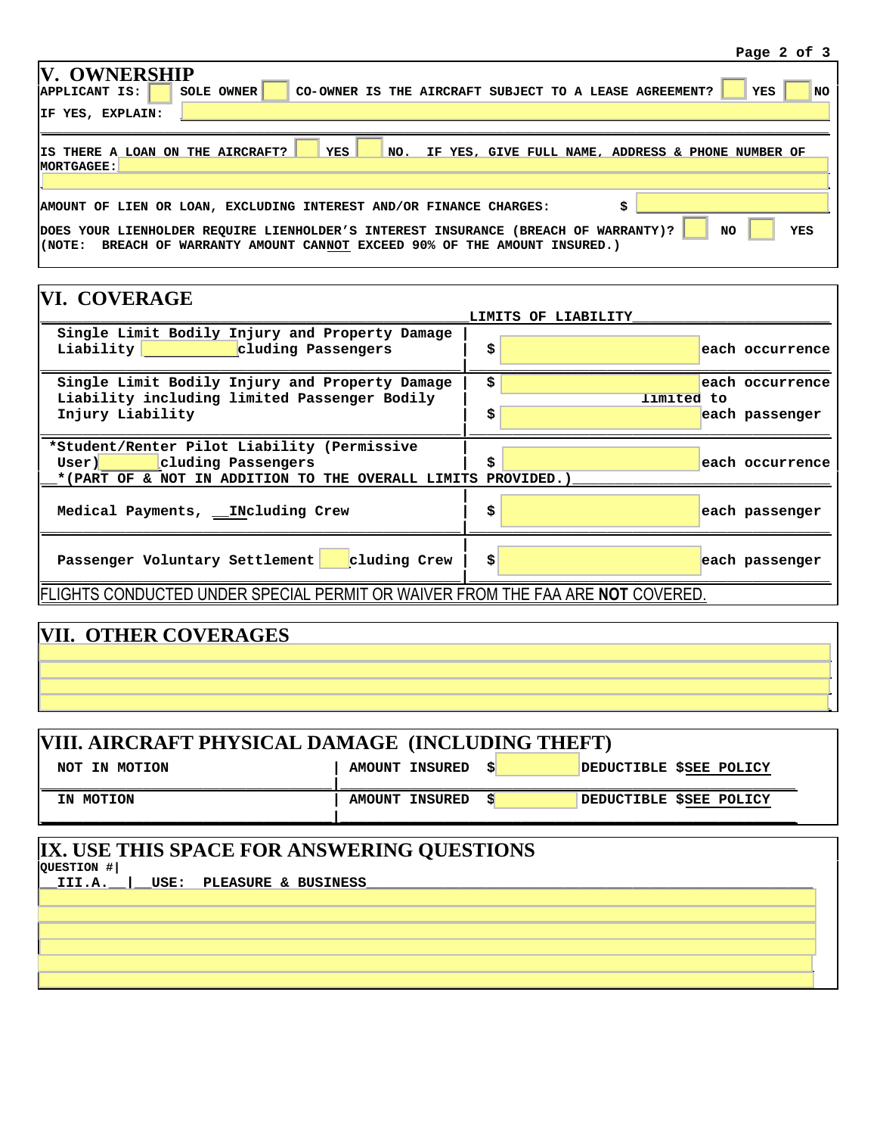| <b>V. OWNERSHIP</b><br>CO-OWNER IS THE AIRCRAFT SUBJECT TO A LEASE AGREEMENT?<br><b>YES</b><br><b>SOLE OWNER</b><br>APPLICANT IS:                                                       | <b>NO</b> |
|-----------------------------------------------------------------------------------------------------------------------------------------------------------------------------------------|-----------|
| IF YES, EXPLAIN:                                                                                                                                                                        |           |
| YES<br>IS THERE A LOAN ON THE AIRCRAFT?<br>NO.<br>IF YES, GIVE FULL NAME, ADDRESS & PHONE NUMBER OF<br>MORTGAGEE:                                                                       |           |
| AMOUNT OF LIEN OR LOAN, EXCLUDING INTEREST AND/OR FINANCE CHARGES:                                                                                                                      |           |
| <b>NO</b><br>YES<br>DOES YOUR LIENHOLDER REQUIRE LIENHOLDER'S INTEREST INSURANCE (BREACH OF WARRANTY)?<br>BREACH OF WARRANTY AMOUNT CANNOT EXCEED 90% OF THE AMOUNT INSURED.)<br>KNOTE: |           |

| <b>VI. COVERAGE</b>                                                                                                                     |          |  | LIMITS OF LIABILITY |  |                                   |  |
|-----------------------------------------------------------------------------------------------------------------------------------------|----------|--|---------------------|--|-----------------------------------|--|
| Single Limit Bodily Injury and Property Damage<br>Liability cluding Passengers                                                          | \$       |  |                     |  | each occurrence                   |  |
| Single Limit Bodily Injury and Property Damage<br>Liability including limited Passenger Bodily<br>Injury Liability                      | \$<br>\$ |  | limited to          |  | each occurrence<br>each passenger |  |
| *Student/Renter Pilot Liability (Permissive<br>User) Cluding Passengers<br>*(PART OF & NOT IN ADDITION TO THE OVERALL LIMITS PROVIDED.) | \$       |  |                     |  | each occurrence                   |  |
| Medical Payments, INcluding Crew                                                                                                        | \$       |  |                     |  | each passenger                    |  |
| cluding Crew<br>Passenger Voluntary Settlement                                                                                          | \$       |  |                     |  | each passenger                    |  |
| FLIGHTS CONDUCTED UNDER SPECIAL PERMIT OR WAIVER FROM THE FAA ARE NOT COVERED.                                                          |          |  |                     |  |                                   |  |

# **VII. OTHER COVERAGES \_\_\_\_\_\_\_\_\_\_\_\_\_\_\_\_\_\_\_\_\_\_\_\_\_\_\_\_\_\_\_\_\_\_\_\_\_\_\_\_\_\_\_\_\_\_\_\_\_\_\_\_\_\_\_\_\_\_\_\_\_\_\_\_\_\_\_\_\_\_\_\_\_\_\_\_\_\_\_\_\_\_\_\_\_\_\_\_\_\_\_\_ \_\_\_\_\_\_\_\_\_\_\_\_\_\_\_\_\_\_\_\_\_\_\_\_\_\_\_\_\_\_\_\_\_\_\_\_\_\_\_\_\_\_\_\_\_\_\_\_\_\_\_\_\_\_\_\_\_\_\_\_\_\_\_\_\_\_\_\_\_\_\_\_\_\_\_\_\_\_\_\_\_\_\_\_\_\_\_\_\_\_\_\_ \_\_\_\_\_\_\_\_\_\_\_\_\_\_\_\_\_\_\_\_\_\_\_\_\_\_\_\_\_\_\_\_\_\_\_\_\_\_\_\_\_\_\_\_\_\_\_\_\_\_\_\_\_\_\_\_\_\_\_\_\_\_\_\_\_\_\_\_\_\_\_\_\_\_\_\_\_\_\_\_\_\_\_\_\_\_\_\_\_\_\_\_**

| VIII. AIRCRAFT PHYSICAL DAMAGE (INCLUDING THEFT)                                                   |                       |   |  |                         |  |  |  |  |
|----------------------------------------------------------------------------------------------------|-----------------------|---|--|-------------------------|--|--|--|--|
| NOT IN MOTION                                                                                      | <b>AMOUNT INSURED</b> | S |  | DEDUCTIBLE \$SEE POLICY |  |  |  |  |
| IN MOTION                                                                                          | AMOUNT INSURED        |   |  | DEDUCTIBLE \$SEE POLICY |  |  |  |  |
| IX. USE THIS SPACE FOR ANSWERING QUESTIONS<br>QUESTION #1<br>III.A.<br>USE:<br>PLEASURE & BUSINESS |                       |   |  |                         |  |  |  |  |